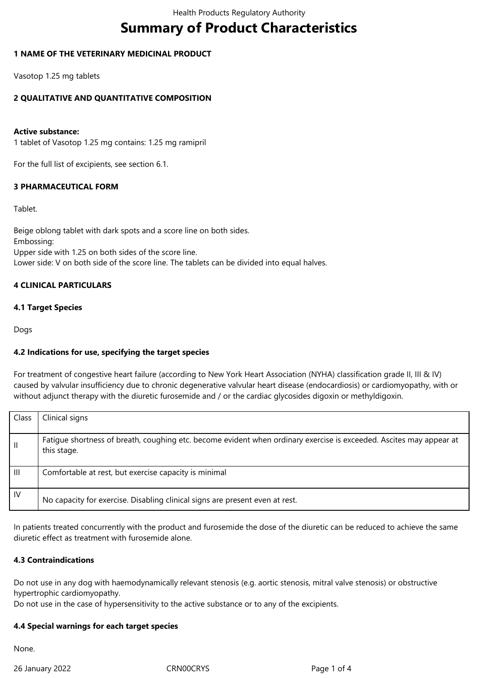# **Summary of Product Characteristics**

# **1 NAME OF THE VETERINARY MEDICINAL PRODUCT**

Vasotop 1.25 mg tablets

# **2 QUALITATIVE AND QUANTITATIVE COMPOSITION**

#### **Active substance:**

1 tablet of Vasotop 1.25 mg contains: 1.25 mg ramipril

For the full list of excipients, see section 6.1.

#### **3 PHARMACEUTICAL FORM**

#### Tablet.

Beige oblong tablet with dark spots and a score line on both sides. Embossing: Upper side with 1.25 on both sides of the score line. Lower side: V on both side of the score line. The tablets can be divided into equal halves.

# **4 CLINICAL PARTICULARS**

## **4.1 Target Species**

Dogs

# **4.2 Indications for use, specifying the target species**

For treatment of congestive heart failure (according to New York Heart Association (NYHA) classification grade II, III & IV) caused by valvular insufficiency due to chronic degenerative valvular heart disease (endocardiosis) or cardiomyopathy, with or without adjunct therapy with the diuretic furosemide and / or the cardiac glycosides digoxin or methyldigoxin.

| Class        | Clinical signs                                                                                                                     |
|--------------|------------------------------------------------------------------------------------------------------------------------------------|
| $\mathbf{H}$ | Fatigue shortness of breath, coughing etc. become evident when ordinary exercise is exceeded. Ascites may appear at<br>this stage. |
| Ш            | Comfortable at rest, but exercise capacity is minimal                                                                              |
| IV.          | No capacity for exercise. Disabling clinical signs are present even at rest.                                                       |

In patients treated concurrently with the product and furosemide the dose of the diuretic can be reduced to achieve the same diuretic effect as treatment with furosemide alone.

#### **4.3 Contraindications**

Do not use in any dog with haemodynamically relevant stenosis (e.g. aortic stenosis, mitral valve stenosis) or obstructive hypertrophic cardiomyopathy.

Do not use in the case of hypersensitivity to the active substance or to any of the excipients.

#### **4.4 Special warnings for each target species**

None.

26 January 2022 CRN00CRYS Page 1 of 4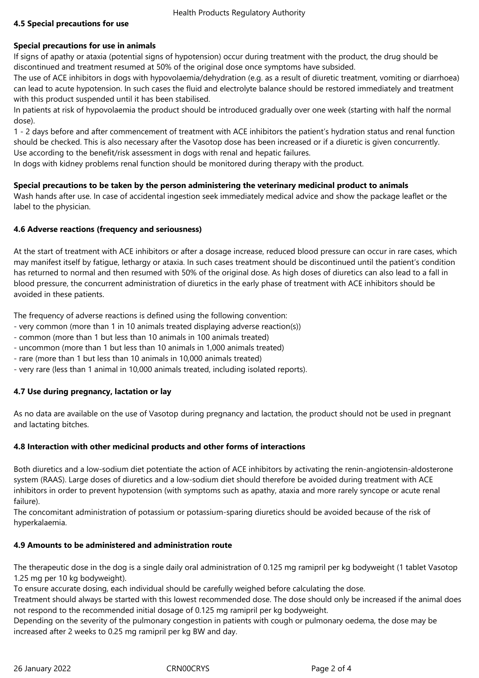# **4.5 Special precautions for use**

#### **Special precautions for use in animals**

If signs of apathy or ataxia (potential signs of hypotension) occur during treatment with the product, the drug should be discontinued and treatment resumed at 50% of the original dose once symptoms have subsided.

The use of ACE inhibitors in dogs with hypovolaemia/dehydration (e.g. as a result of diuretic treatment, vomiting or diarrhoea) can lead to acute hypotension. In such cases the fluid and electrolyte balance should be restored immediately and treatment with this product suspended until it has been stabilised.

In patients at risk of hypovolaemia the product should be introduced gradually over one week (starting with half the normal dose).

1 - 2 days before and after commencement of treatment with ACE inhibitors the patient's hydration status and renal function should be checked. This is also necessary after the Vasotop dose has been increased or if a diuretic is given concurrently. Use according to the benefit/risk assessment in dogs with renal and hepatic failures.

In dogs with kidney problems renal function should be monitored during therapy with the product.

## **Special precautions to be taken by the person administering the veterinary medicinal product to animals**

Wash hands after use. In case of accidental ingestion seek immediately medical advice and show the package leaflet or the label to the physician.

## **4.6 Adverse reactions (frequency and seriousness)**

At the start of treatment with ACE inhibitors or after a dosage increase, reduced blood pressure can occur in rare cases, which may manifest itself by fatigue, lethargy or ataxia. In such cases treatment should be discontinued until the patient's condition has returned to normal and then resumed with 50% of the original dose. As high doses of diuretics can also lead to a fall in blood pressure, the concurrent administration of diuretics in the early phase of treatment with ACE inhibitors should be avoided in these patients.

The frequency of adverse reactions is defined using the following convention:

- very common (more than 1 in 10 animals treated displaying adverse reaction(s))
- common (more than 1 but less than 10 animals in 100 animals treated)
- uncommon (more than 1 but less than 10 animals in 1,000 animals treated)
- rare (more than 1 but less than 10 animals in 10,000 animals treated)
- very rare (less than 1 animal in 10,000 animals treated, including isolated reports).

# **4.7 Use during pregnancy, lactation or lay**

As no data are available on the use of Vasotop during pregnancy and lactation, the product should not be used in pregnant and lactating bitches.

#### **4.8 Interaction with other medicinal products and other forms of interactions**

Both diuretics and a low-sodium diet potentiate the action of ACE inhibitors by activating the renin-angiotensin-aldosterone system (RAAS). Large doses of diuretics and a low-sodium diet should therefore be avoided during treatment with ACE inhibitors in order to prevent hypotension (with symptoms such as apathy, ataxia and more rarely syncope or acute renal failure).

The concomitant administration of potassium or potassium-sparing diuretics should be avoided because of the risk of hyperkalaemia.

#### **4.9 Amounts to be administered and administration route**

The therapeutic dose in the dog is a single daily oral administration of 0.125 mg ramipril per kg bodyweight (1 tablet Vasotop 1.25 mg per 10 kg bodyweight).

To ensure accurate dosing, each individual should be carefully weighed before calculating the dose.

Treatment should always be started with this lowest recommended dose. The dose should only be increased if the animal does not respond to the recommended initial dosage of 0.125 mg ramipril per kg bodyweight.

Depending on the severity of the pulmonary congestion in patients with cough or pulmonary oedema, the dose may be increased after 2 weeks to 0.25 mg ramipril per kg BW and day.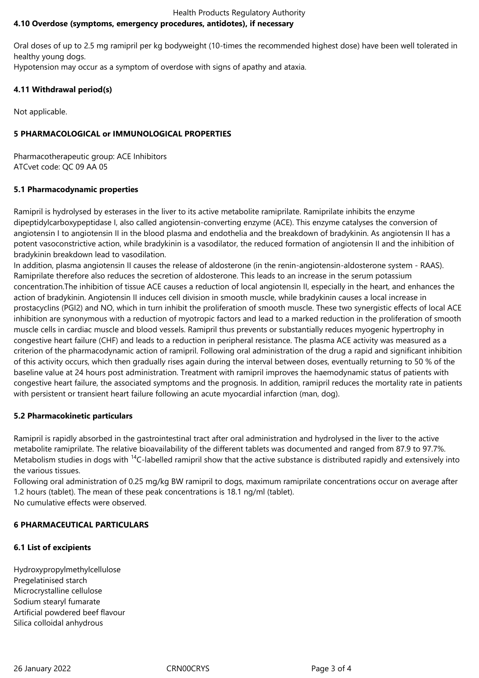#### Health Products Regulatory Authority **4.10 Overdose (symptoms, emergency procedures, antidotes), if necessary**

Oral doses of up to 2.5 mg ramipril per kg bodyweight (10-times the recommended highest dose) have been well tolerated in healthy young dogs.

Hypotension may occur as a symptom of overdose with signs of apathy and ataxia.

# **4.11 Withdrawal period(s)**

Not applicable.

# **5 PHARMACOLOGICAL or IMMUNOLOGICAL PROPERTIES**

Pharmacotherapeutic group: ACE Inhibitors ATCvet code: QC 09 AA 05

# **5.1 Pharmacodynamic properties**

Ramipril is hydrolysed by esterases in the liver to its active metabolite ramiprilate. Ramiprilate inhibits the enzyme dipeptidylcarboxypeptidase I, also called angiotensin-converting enzyme (ACE). This enzyme catalyses the conversion of angiotensin I to angiotensin II in the blood plasma and endothelia and the breakdown of bradykinin. As angiotensin II has a potent vasoconstrictive action, while bradykinin is a vasodilator, the reduced formation of angiotensin II and the inhibition of bradykinin breakdown lead to vasodilation.

In addition, plasma angiotensin II causes the release of aldosterone (in the renin-angiotensin-aldosterone system - RAAS). Ramiprilate therefore also reduces the secretion of aldosterone. This leads to an increase in the serum potassium concentration.The inhibition of tissue ACE causes a reduction of local angiotensin II, especially in the heart, and enhances the action of bradykinin. Angiotensin II induces cell division in smooth muscle, while bradykinin causes a local increase in prostacyclins (PGI2) and NO, which in turn inhibit the proliferation of smooth muscle. These two synergistic effects of local ACE inhibition are synonymous with a reduction of myotropic factors and lead to a marked reduction in the proliferation of smooth muscle cells in cardiac muscle and blood vessels. Ramipril thus prevents or substantially reduces myogenic hypertrophy in congestive heart failure (CHF) and leads to a reduction in peripheral resistance. The plasma ACE activity was measured as a criterion of the pharmacodynamic action of ramipril. Following oral administration of the drug a rapid and significant inhibition of this activity occurs, which then gradually rises again during the interval between doses, eventually returning to 50 % of the baseline value at 24 hours post administration. Treatment with ramipril improves the haemodynamic status of patients with congestive heart failure, the associated symptoms and the prognosis. In addition, ramipril reduces the mortality rate in patients with persistent or transient heart failure following an acute myocardial infarction (man, dog).

# **5.2 Pharmacokinetic particulars**

Ramipril is rapidly absorbed in the gastrointestinal tract after oral administration and hydrolysed in the liver to the active metabolite ramiprilate. The relative bioavailability of the different tablets was documented and ranged from 87.9 to 97.7%. Metabolism studies in dogs with <sup>14</sup>C-labelled ramipril show that the active substance is distributed rapidly and extensively into the various tissues.

Following oral administration of 0.25 mg/kg BW ramipril to dogs, maximum ramiprilate concentrations occur on average after 1.2 hours (tablet). The mean of these peak concentrations is 18.1 ng/ml (tablet). No cumulative effects were observed.

# **6 PHARMACEUTICAL PARTICULARS**

# **6.1 List of excipients**

Hydroxypropylmethylcellulose Pregelatinised starch Microcrystalline cellulose Sodium stearyl fumarate Artificial powdered beef flavour Silica colloidal anhydrous